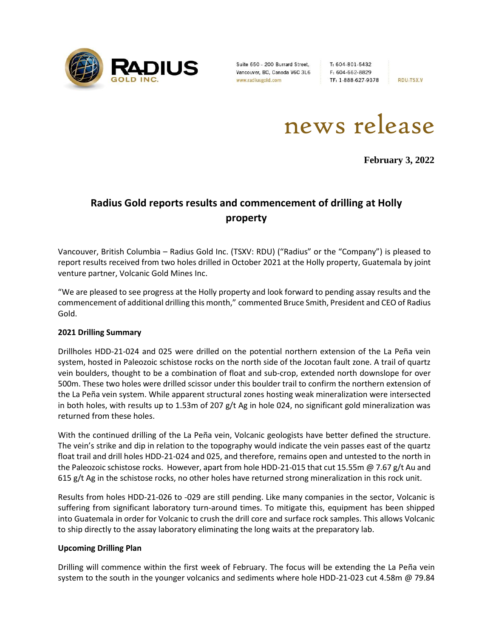

Suite 650 - 200 Burrard Street, Vancouver, BC, Canada V6C 3L6 www.radiusgold.com

T: 604-801-5432 F: 604-662-8829 TF: 1-888-627-9378

**RDU:TSX.V** 

news release

**February 3, 2022**

# **Radius Gold reports results and commencement of drilling at Holly property**

Vancouver, British Columbia – Radius Gold Inc. (TSXV: RDU) ("Radius" or the "Company") is pleased to report results received from two holes drilled in October 2021 at the Holly property, Guatemala by joint venture partner, Volcanic Gold Mines Inc.

"We are pleased to see progress at the Holly property and look forward to pending assay results and the commencement of additional drilling this month," commented Bruce Smith, President and CEO of Radius Gold.

# **2021 Drilling Summary**

Drillholes HDD-21-024 and 025 were drilled on the potential northern extension of the La Peña vein system, hosted in Paleozoic schistose rocks on the north side of the Jocotan fault zone. A trail of quartz vein boulders, thought to be a combination of float and sub-crop, extended north downslope for over 500m. These two holes were drilled scissor under this boulder trail to confirm the northern extension of the La Peña vein system. While apparent structural zones hosting weak mineralization were intersected in both holes, with results up to 1.53m of 207 g/t Ag in hole 024, no significant gold mineralization was returned from these holes.

With the continued drilling of the La Peña vein, Volcanic geologists have better defined the structure. The vein's strike and dip in relation to the topography would indicate the vein passes east of the quartz float trail and drill holes HDD-21-024 and 025, and therefore, remains open and untested to the north in the Paleozoic schistose rocks. However, apart from hole HDD-21-015 that cut 15.55m @ 7.67 g/t Au and 615 g/t Ag in the schistose rocks, no other holes have returned strong mineralization in this rock unit.

Results from holes HDD-21-026 to -029 are still pending. Like many companies in the sector, Volcanic is suffering from significant laboratory turn-around times. To mitigate this, equipment has been shipped into Guatemala in order for Volcanic to crush the drill core and surface rock samples. This allows Volcanic to ship directly to the assay laboratory eliminating the long waits at the preparatory lab.

#### **Upcoming Drilling Plan**

Drilling will commence within the first week of February. The focus will be extending the La Peña vein system to the south in the younger volcanics and sediments where hole HDD-21-023 cut 4.58m @ 79.84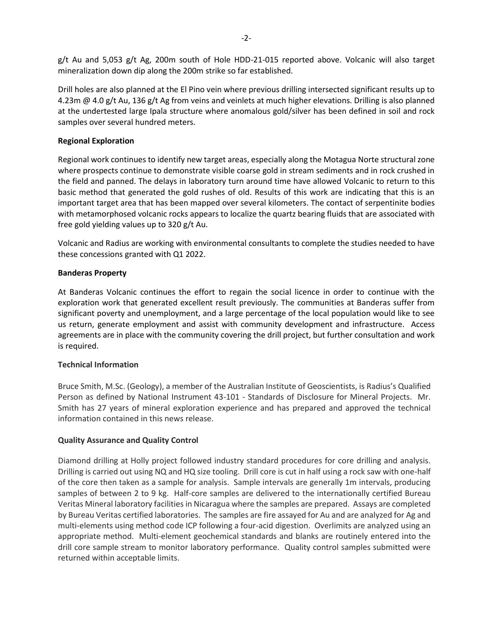g/t Au and 5,053 g/t Ag, 200m south of Hole HDD-21-015 reported above. Volcanic will also target mineralization down dip along the 200m strike so far established.

Drill holes are also planned at the El Pino vein where previous drilling intersected significant results up to 4.23m @ 4.0 g/t Au, 136 g/t Ag from veins and veinlets at much higher elevations. Drilling is also planned at the undertested large Ipala structure where anomalous gold/silver has been defined in soil and rock samples over several hundred meters.

### **Regional Exploration**

Regional work continues to identify new target areas, especially along the Motagua Norte structural zone where prospects continue to demonstrate visible coarse gold in stream sediments and in rock crushed in the field and panned. The delays in laboratory turn around time have allowed Volcanic to return to this basic method that generated the gold rushes of old. Results of this work are indicating that this is an important target area that has been mapped over several kilometers. The contact of serpentinite bodies with metamorphosed volcanic rocks appears to localize the quartz bearing fluids that are associated with free gold yielding values up to 320 g/t Au.

Volcanic and Radius are working with environmental consultants to complete the studies needed to have these concessions granted with Q1 2022.

#### **Banderas Property**

At Banderas Volcanic continues the effort to regain the social licence in order to continue with the exploration work that generated excellent result previously. The communities at Banderas suffer from significant poverty and unemployment, and a large percentage of the local population would like to see us return, generate employment and assist with community development and infrastructure. Access agreements are in place with the community covering the drill project, but further consultation and work is required.

# **Technical Information**

Bruce Smith, M.Sc. (Geology), a member of the Australian Institute of Geoscientists, is Radius's Qualified Person as defined by National Instrument 43-101 - Standards of Disclosure for Mineral Projects. Mr. Smith has 27 years of mineral exploration experience and has prepared and approved the technical information contained in this news release.

# **Quality Assurance and Quality Control**

Diamond drilling at Holly project followed industry standard procedures for core drilling and analysis. Drilling is carried out using NQ and HQ size tooling. Drill core is cut in half using a rock saw with one-half of the core then taken as a sample for analysis. Sample intervals are generally 1m intervals, producing samples of between 2 to 9 kg. Half-core samples are delivered to the internationally certified Bureau Veritas Mineral laboratory facilities in Nicaragua where the samples are prepared. Assays are completed by Bureau Veritas certified laboratories. The samples are fire assayed for Au and are analyzed for Ag and multi-elements using method code ICP following a four-acid digestion. Overlimits are analyzed using an appropriate method. Multi-element geochemical standards and blanks are routinely entered into the drill core sample stream to monitor laboratory performance. Quality control samples submitted were returned within acceptable limits.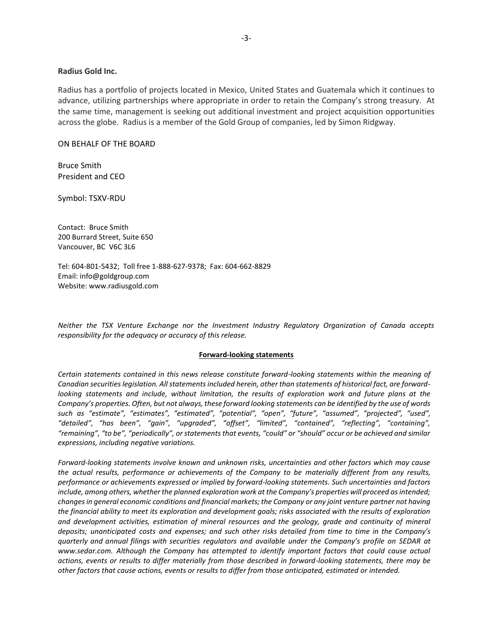#### **Radius Gold Inc.**

Radius has a portfolio of projects located in Mexico, United States and Guatemala which it continues to advance, utilizing partnerships where appropriate in order to retain the Company's strong treasury. At the same time, management is seeking out additional investment and project acquisition opportunities across the globe. Radius is a member of the Gold Group of companies, led by Simon Ridgway.

#### ON BEHALF OF THE BOARD

Bruce Smith President and CEO

Symbol: TSXV-RDU

Contact: Bruce Smith 200 Burrard Street, Suite 650 Vancouver, BC V6C 3L6

Tel: 604-801-5432; Toll free 1-888-627-9378; Fax: 604-662-8829 Email: info@goldgroup.com Website: www.radiusgold.com

*Neither the TSX Venture Exchange nor the Investment Industry Regulatory Organization of Canada accepts responsibility for the adequacy or accuracy of this release.*

#### **Forward-looking statements**

*Certain statements contained in this news release constitute forward-looking statements within the meaning of Canadian securities legislation. All statements included herein, other than statements of historical fact, are forwardlooking statements and include, without limitation, the results of exploration work and future plans at the Company's properties. Often, but not always, these forward looking statements can be identified by the use of words such as "estimate", "estimates", "estimated", "potential", "open", "future", "assumed", "projected", "used", "detailed", "has been", "gain", "upgraded", "offset", "limited", "contained", "reflecting", "containing", "remaining", "to be", "periodically", or statements that events, "could" or "should" occur or be achieved and similar expressions, including negative variations.*

*Forward-looking statements involve known and unknown risks, uncertainties and other factors which may cause the actual results, performance or achievements of the Company to be materially different from any results, performance or achievements expressed or implied by forward-looking statements. Such uncertainties and factors include, among others, whether the planned exploration work at the Company's properties will proceed as intended; changes in general economic conditions and financial markets; the Company or any joint venture partner not having the financial ability to meet its exploration and development goals; risks associated with the results of exploration and development activities, estimation of mineral resources and the geology, grade and continuity of mineral deposits; unanticipated costs and expenses; and such other risks detailed from time to time in the Company's quarterly and annual filings with securities regulators and available under the Company's profile on SEDAR at [www.sedar.com.](http://www.sedar.com/) Although the Company has attempted to identify important factors that could cause actual actions, events or results to differ materially from those described in forward-looking statements, there may be other factors that cause actions, events or results to differ from those anticipated, estimated or intended.*